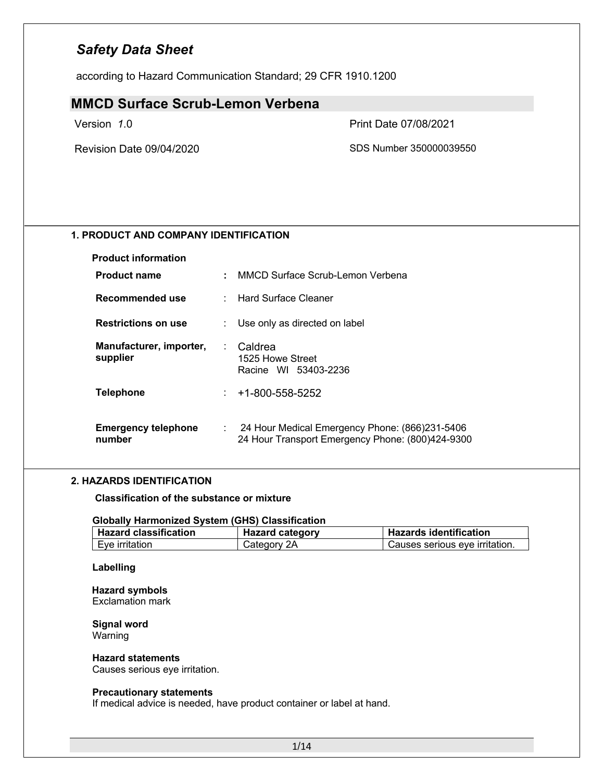according to Hazard Communication Standard; 29 CFR 1910.1200

### **MMCD Surface Scrub-Lemon Verbena**

Version *1*.0 Print Date 07/08/2021

Revision Date 09/04/2020 SDS Number 350000039550

### **1. PRODUCT AND COMPANY IDENTIFICATION**

| <b>Product information</b>           |    |                                                                                                    |
|--------------------------------------|----|----------------------------------------------------------------------------------------------------|
| <b>Product name</b>                  | ÷. | MMCD Surface Scrub-Lemon Verbena                                                                   |
| Recommended use                      |    | : Hard Surface Cleaner                                                                             |
| <b>Restrictions on use</b>           |    | Use only as directed on label                                                                      |
| Manufacturer, importer,<br>supplier  |    | : Caldrea<br>1525 Howe Street<br>Racine WI 53403-2236                                              |
| <b>Telephone</b>                     | t. | +1-800-558-5252                                                                                    |
| <b>Emergency telephone</b><br>number |    | 24 Hour Medical Emergency Phone: (866)231-5406<br>24 Hour Transport Emergency Phone: (800)424-9300 |

### **2. HAZARDS IDENTIFICATION**

**Classification of the substance or mixture**

### **Globally Harmonized System (GHS) Classification**

| <b>Hazard classification</b> | <b>Hazard category</b> | <b>Hazards identification</b>  |  |
|------------------------------|------------------------|--------------------------------|--|
| Eye irritation               | Category 2A            | Causes serious eve irritation. |  |

#### **Labelling**

**Hazard symbols** Exclamation mark

#### **Signal word** Warning

### **Hazard statements**

Causes serious eye irritation.

#### **Precautionary statements**

If medical advice is needed, have product container or label at hand.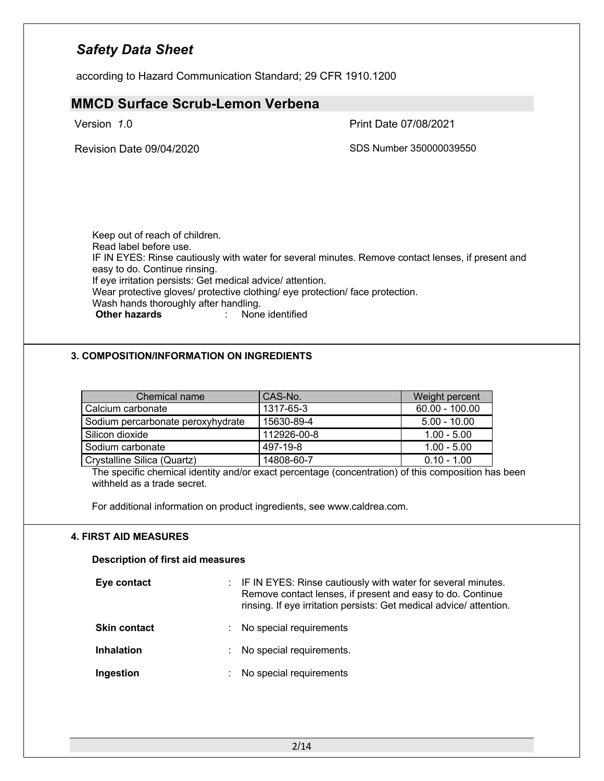according to Hazard Communication Standard; 29 CFR 1910.1200

# **MMCD Surface Scrub-Lemon Verbena** Version *1*.0 Print Date 07/08/2021 Revision Date 09/04/2020 SDS Number 350000039550 Keep out of reach of children. Read label before use. IF IN EYES: Rinse cautiously with water for several minutes. Remove contact lenses, if present and easy to do. Continue rinsing. If eye irritation persists: Get medical advice/ attention. Wear protective gloves/ protective clothing/ eye protection/ face protection. Wash hands thoroughly after handling.<br> **Other hazards** : None **Other hazards** : None identified

### **3. COMPOSITION/INFORMATION ON INGREDIENTS**

| Chemical name                     | CAS-No.     | Weight percent   |
|-----------------------------------|-------------|------------------|
| Calcium carbonate                 | 1317-65-3   | $60.00 - 100.00$ |
| Sodium percarbonate peroxyhydrate | 15630-89-4  | $5.00 - 10.00$   |
| l Silicon dioxide                 | 112926-00-8 | $1.00 - 5.00$    |
| Sodium carbonate                  | 497-19-8    | $1.00 - 5.00$    |
| Crystalline Silica (Quartz)       | 14808-60-7  | $0.10 - 1.00$    |

The specific chemical identity and/or exact percentage (concentration) of this composition has been withheld as a trade secret.

For additional information on product ingredients, see www.caldrea.com.

### **4. FIRST AID MEASURES**

#### **Description of first aid measures**

| Eye contact         |   | : IF IN EYES: Rinse cautiously with water for several minutes.<br>Remove contact lenses, if present and easy to do. Continue<br>rinsing. If eye irritation persists: Get medical advice/attention. |
|---------------------|---|----------------------------------------------------------------------------------------------------------------------------------------------------------------------------------------------------|
| <b>Skin contact</b> |   | No special requirements                                                                                                                                                                            |
| <b>Inhalation</b>   | ÷ | No special requirements.                                                                                                                                                                           |
| Ingestion           | ÷ | No special requirements                                                                                                                                                                            |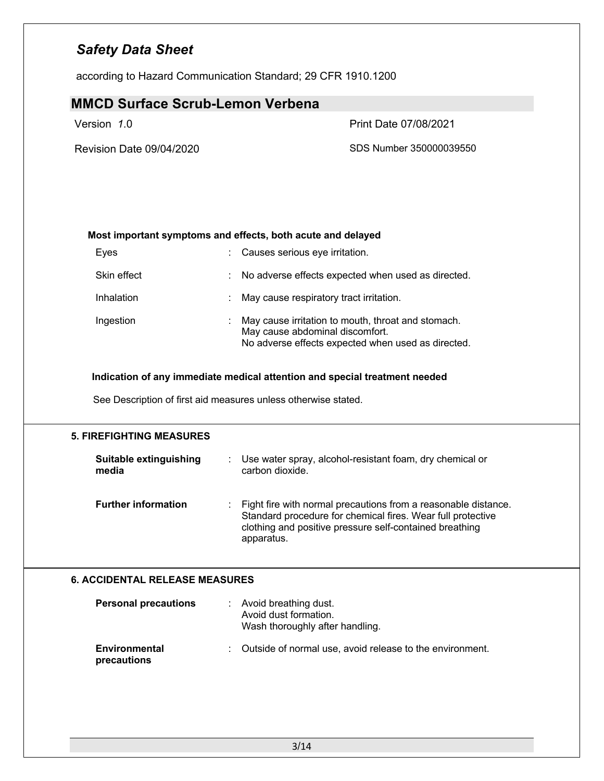according to Hazard Communication Standard; 29 CFR 1910.1200

### **MMCD Surface Scrub-Lemon Verbena**

### Version *1*.0 Print Date 07/08/2021

Revision Date 09/04/2020 SDS Number 350000039550

### **Most important symptoms and effects, both acute and delayed**

| Eyes        |    | Causes serious eye irritation.                                                                                                              |
|-------------|----|---------------------------------------------------------------------------------------------------------------------------------------------|
| Skin effect | t. | No adverse effects expected when used as directed.                                                                                          |
| Inhalation  |    | May cause respiratory tract irritation.                                                                                                     |
| Ingestion   |    | May cause irritation to mouth, throat and stomach.<br>May cause abdominal discomfort.<br>No adverse effects expected when used as directed. |

### **Indication of any immediate medical attention and special treatment needed**

See Description of first aid measures unless otherwise stated.

## **5. FIREFIGHTING MEASURES Suitable extinguishing media** : Use water spray, alcohol-resistant foam, dry chemical or carbon dioxide. **Further information** : Fight fire with normal precautions from a reasonable distance. Standard procedure for chemical fires. Wear full protective clothing and positive pressure self-contained breathing apparatus.

### **6. ACCIDENTAL RELEASE MEASURES**

| <b>Personal precautions</b>         | : Avoid breathing dust.<br>Avoid dust formation.<br>Wash thoroughly after handling. |  |
|-------------------------------------|-------------------------------------------------------------------------------------|--|
| <b>Environmental</b><br>precautions | : Outside of normal use, avoid release to the environment.                          |  |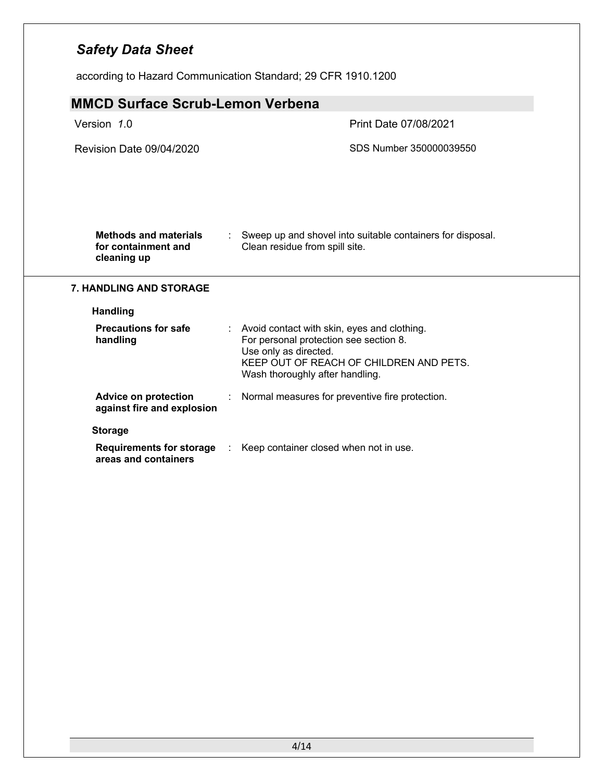according to Hazard Communication Standard; 29 CFR 1910.1200

| <b>MMCD Surface Scrub-Lemon Verbena</b>                            |                                                                                                                                                                                                |  |
|--------------------------------------------------------------------|------------------------------------------------------------------------------------------------------------------------------------------------------------------------------------------------|--|
| Version 1.0                                                        | Print Date 07/08/2021                                                                                                                                                                          |  |
| Revision Date 09/04/2020                                           | SDS Number 350000039550                                                                                                                                                                        |  |
|                                                                    |                                                                                                                                                                                                |  |
|                                                                    |                                                                                                                                                                                                |  |
|                                                                    |                                                                                                                                                                                                |  |
| <b>Methods and materials</b><br>for containment and<br>cleaning up | Sweep up and shovel into suitable containers for disposal.<br>Clean residue from spill site.                                                                                                   |  |
| <b>7. HANDLING AND STORAGE</b>                                     |                                                                                                                                                                                                |  |
| <b>Handling</b>                                                    |                                                                                                                                                                                                |  |
| <b>Precautions for safe</b><br>handling                            | : Avoid contact with skin, eyes and clothing.<br>For personal protection see section 8.<br>Use only as directed.<br>KEEP OUT OF REACH OF CHILDREN AND PETS.<br>Wash thoroughly after handling. |  |
| <b>Advice on protection</b><br>against fire and explosion          | Normal measures for preventive fire protection.                                                                                                                                                |  |
| <b>Storage</b>                                                     |                                                                                                                                                                                                |  |
| <b>Requirements for storage</b><br>areas and containers            | Keep container closed when not in use.                                                                                                                                                         |  |
|                                                                    |                                                                                                                                                                                                |  |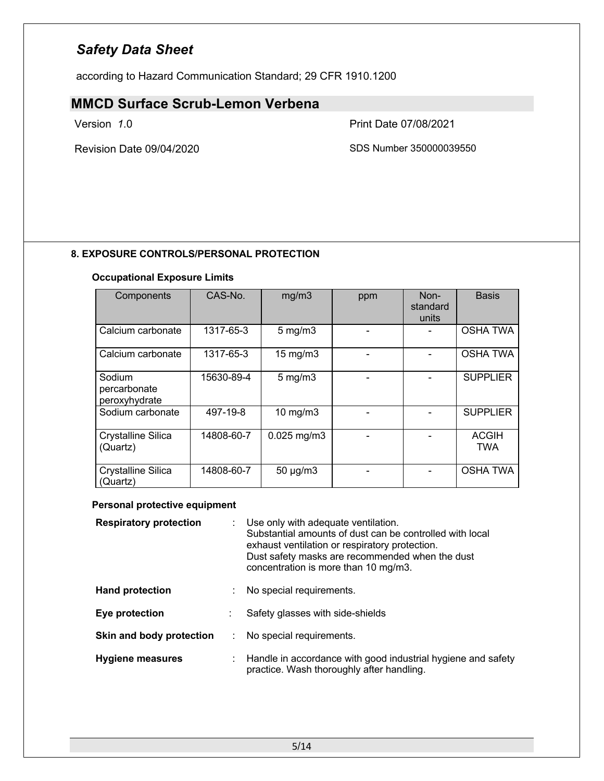according to Hazard Communication Standard; 29 CFR 1910.1200

# **MMCD Surface Scrub-Lemon Verbena**

Version *1*.0 Print Date 07/08/2021

Revision Date 09/04/2020 SDS Number 350000039550

### **8. EXPOSURE CONTROLS/PERSONAL PROTECTION**

### **Occupational Exposure Limits**

| Components                              | CAS-No.    | mg/m3             | ppm | Non-<br>standard<br>units | <b>Basis</b>               |
|-----------------------------------------|------------|-------------------|-----|---------------------------|----------------------------|
| Calcium carbonate                       | 1317-65-3  | $5$ mg/m $3$      |     |                           | <b>OSHA TWA</b>            |
| Calcium carbonate                       | 1317-65-3  | $15 \text{ mg/m}$ |     |                           | <b>OSHA TWA</b>            |
| Sodium<br>percarbonate<br>peroxyhydrate | 15630-89-4 | $5$ mg/m $3$      |     |                           | <b>SUPPLIER</b>            |
| Sodium carbonate                        | 497-19-8   | $10 \text{ mg/m}$ |     |                           | <b>SUPPLIER</b>            |
| <b>Crystalline Silica</b><br>(Quartz)   | 14808-60-7 | $0.025$ mg/m $3$  |     |                           | <b>ACGIH</b><br><b>TWA</b> |
| <b>Crystalline Silica</b><br>(Quartz)   | 14808-60-7 | $50 \mu g/m3$     |     |                           | <b>OSHA TWA</b>            |

### **Personal protective equipment**

| <b>Respiratory protection</b> | Use only with adequate ventilation.<br>Substantial amounts of dust can be controlled with local<br>exhaust ventilation or respiratory protection.<br>Dust safety masks are recommended when the dust<br>concentration is more than 10 mg/m3. |
|-------------------------------|----------------------------------------------------------------------------------------------------------------------------------------------------------------------------------------------------------------------------------------------|
| <b>Hand protection</b>        | No special requirements.                                                                                                                                                                                                                     |
| Eye protection                | Safety glasses with side-shields                                                                                                                                                                                                             |
| Skin and body protection      | No special requirements.                                                                                                                                                                                                                     |
| <b>Hygiene measures</b>       | : Handle in accordance with good industrial hygiene and safety<br>practice. Wash thoroughly after handling.                                                                                                                                  |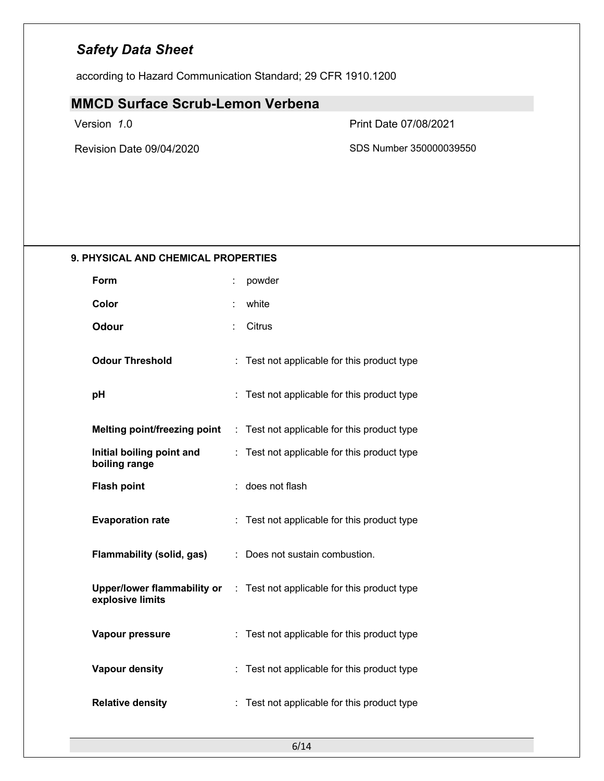according to Hazard Communication Standard; 29 CFR 1910.1200

# **MMCD Surface Scrub-Lemon Verbena**

Version *1*.0 Print Date 07/08/2021

Revision Date 09/04/2020 SDS Number 350000039550

### **9. PHYSICAL AND CHEMICAL PROPERTIES**

| Form                                            | ÷  | powder                                    |
|-------------------------------------------------|----|-------------------------------------------|
| Color                                           |    | white                                     |
| <b>Odour</b>                                    | ÷  | Citrus                                    |
| <b>Odour Threshold</b>                          | t  | Test not applicable for this product type |
| рH                                              |    | Test not applicable for this product type |
| <b>Melting point/freezing point</b>             | ÷. | Test not applicable for this product type |
| Initial boiling point and<br>boiling range      |    | Test not applicable for this product type |
| <b>Flash point</b>                              |    | does not flash                            |
| <b>Evaporation rate</b>                         |    | Test not applicable for this product type |
| <b>Flammability (solid, gas)</b>                |    | Does not sustain combustion.              |
| Upper/lower flammability or<br>explosive limits | ÷. | Test not applicable for this product type |
| Vapour pressure                                 |    | Test not applicable for this product type |
| <b>Vapour density</b>                           |    | Test not applicable for this product type |
| <b>Relative density</b>                         |    | Test not applicable for this product type |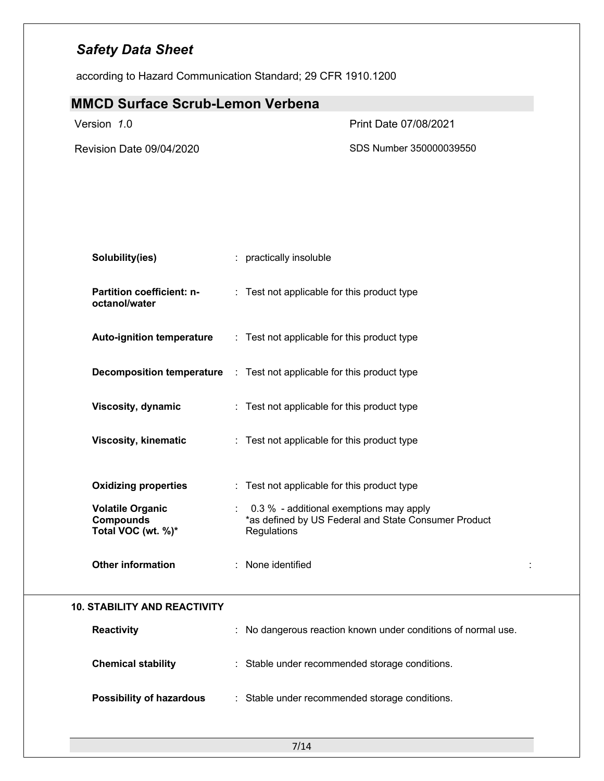according to Hazard Communication Standard; 29 CFR 1910.1200

| <b>MMCD Surface Scrub-Lemon Verbena</b>                           |                                                                                                                  |   |
|-------------------------------------------------------------------|------------------------------------------------------------------------------------------------------------------|---|
| Version 1.0                                                       | Print Date 07/08/2021                                                                                            |   |
| Revision Date 09/04/2020                                          | SDS Number 350000039550                                                                                          |   |
| Solubility(ies)                                                   | : practically insoluble                                                                                          |   |
| Partition coefficient: n-<br>octanol/water                        | : Test not applicable for this product type                                                                      |   |
| <b>Auto-ignition temperature</b>                                  | : Test not applicable for this product type                                                                      |   |
|                                                                   | <b>Decomposition temperature</b> : Test not applicable for this product type                                     |   |
| <b>Viscosity, dynamic</b>                                         | : Test not applicable for this product type                                                                      |   |
| <b>Viscosity, kinematic</b>                                       | : Test not applicable for this product type                                                                      |   |
| <b>Oxidizing properties</b>                                       | : Test not applicable for this product type                                                                      |   |
| <b>Volatile Organic</b><br><b>Compounds</b><br>Total VOC (wt. %)* | : 0.3 % - additional exemptions may apply<br>*as defined by US Federal and State Consumer Product<br>Regulations |   |
| <b>Other information</b>                                          | : None identified                                                                                                | ÷ |
| <b>10. STABILITY AND REACTIVITY</b>                               |                                                                                                                  |   |
| <b>Reactivity</b>                                                 | : No dangerous reaction known under conditions of normal use.                                                    |   |
| <b>Chemical stability</b>                                         | : Stable under recommended storage conditions.                                                                   |   |
| <b>Possibility of hazardous</b>                                   | : Stable under recommended storage conditions.                                                                   |   |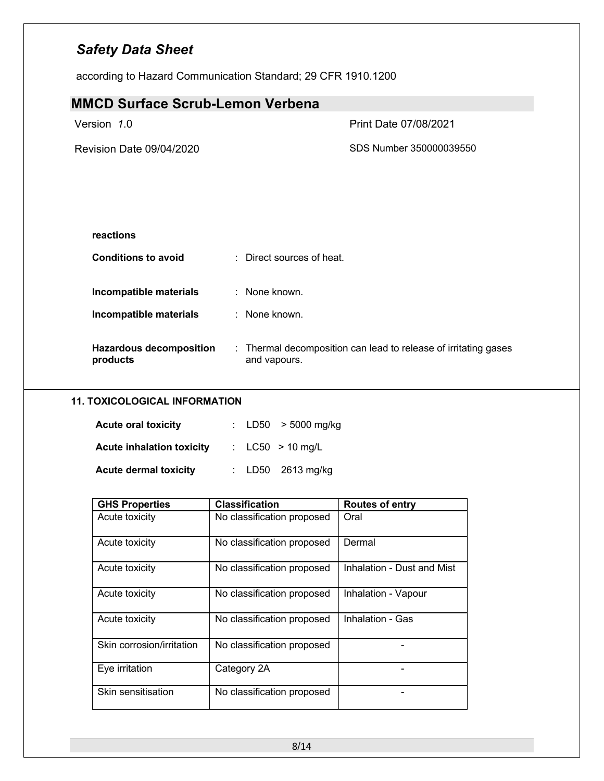according to Hazard Communication Standard; 29 CFR 1910.1200

| <b>MMCD Surface Scrub-Lemon Verbena</b>    |                                                                                 |
|--------------------------------------------|---------------------------------------------------------------------------------|
| Version 1.0                                | <b>Print Date 07/08/2021</b>                                                    |
| Revision Date 09/04/2020                   | SDS Number 350000039550                                                         |
|                                            |                                                                                 |
| reactions                                  |                                                                                 |
| <b>Conditions to avoid</b>                 | : Direct sources of heat.                                                       |
| Incompatible materials                     | : None known.                                                                   |
| Incompatible materials                     | : None known.                                                                   |
| <b>Hazardous decomposition</b><br>products | : Thermal decomposition can lead to release of irritating gases<br>and vapours. |

### **11. TOXICOLOGICAL INFORMATION**

| <b>Acute oral toxicity</b>       |  | : $LD50 > 5000$ mg/kg |
|----------------------------------|--|-----------------------|
| <b>Acute inhalation toxicity</b> |  | : $LC50 > 10$ mg/L    |
| <b>Acute dermal toxicity</b>     |  | : $LD50$ 2613 mg/kg   |

| <b>GHS Properties</b>     | <b>Classification</b>      | <b>Routes of entry</b>     |
|---------------------------|----------------------------|----------------------------|
| Acute toxicity            | No classification proposed | Oral                       |
| Acute toxicity            | No classification proposed | Dermal                     |
| Acute toxicity            | No classification proposed | Inhalation - Dust and Mist |
| Acute toxicity            | No classification proposed | Inhalation - Vapour        |
| Acute toxicity            | No classification proposed | Inhalation - Gas           |
| Skin corrosion/irritation | No classification proposed |                            |
| Eye irritation            | Category 2A                |                            |
| Skin sensitisation        | No classification proposed |                            |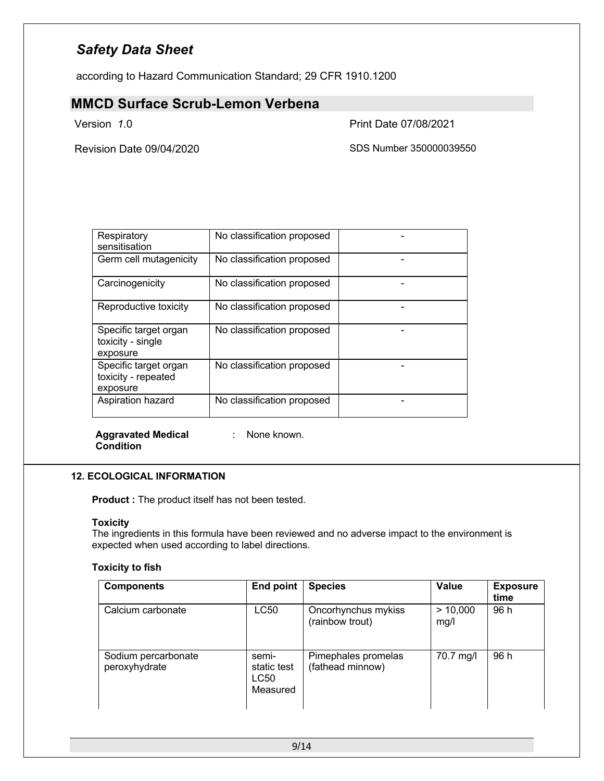according to Hazard Communication Standard; 29 CFR 1910.1200

### **MMCD Surface Scrub-Lemon Verbena**

Version *1*.0 Print Date 07/08/2021

Revision Date 09/04/2020 SDS Number 350000039550

| Respiratory<br>sensitisation                             | No classification proposed |  |
|----------------------------------------------------------|----------------------------|--|
| Germ cell mutagenicity                                   | No classification proposed |  |
| Carcinogenicity                                          | No classification proposed |  |
| Reproductive toxicity                                    | No classification proposed |  |
| Specific target organ<br>toxicity - single<br>exposure   | No classification proposed |  |
| Specific target organ<br>toxicity - repeated<br>exposure | No classification proposed |  |
| Aspiration hazard                                        | No classification proposed |  |

**Aggravated Medical Condition**

: None known.

### **12. ECOLOGICAL INFORMATION**

**Product :** The product itself has not been tested.

### **Toxicity**

The ingredients in this formula have been reviewed and no adverse impact to the environment is expected when used according to label directions.

### **Toxicity to fish**

| <b>Components</b>                    | End point                                | <b>Species</b>                          | Value            | <b>Exposure</b><br>time |
|--------------------------------------|------------------------------------------|-----------------------------------------|------------------|-------------------------|
| Calcium carbonate                    | LC50                                     | Oncorhynchus mykiss<br>(rainbow trout)  | > 10,000<br>mg/l | 96 h                    |
| Sodium percarbonate<br>peroxyhydrate | semi-<br>static test<br>LC50<br>Measured | Pimephales promelas<br>(fathead minnow) | 70.7 mg/l        | 96 h                    |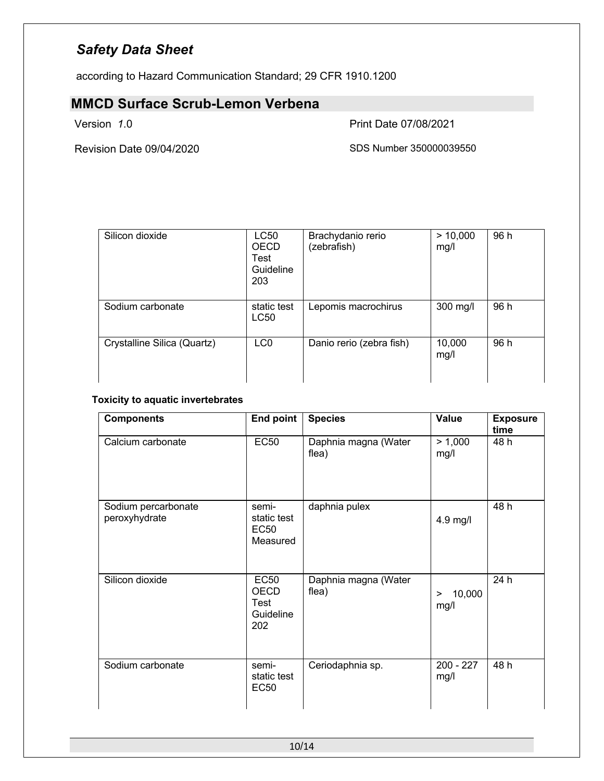according to Hazard Communication Standard; 29 CFR 1910.1200

# **MMCD Surface Scrub-Lemon Verbena**

Version *1*.0 Print Date 07/08/2021

Revision Date 09/04/2020 SDS Number 350000039550

| Silicon dioxide             | LC50<br><b>OECD</b><br>Test<br>Guideline<br>203 | Brachydanio rerio<br>(zebrafish) | > 10,000<br>mg/l | 96 h |
|-----------------------------|-------------------------------------------------|----------------------------------|------------------|------|
| Sodium carbonate            | static test<br>LC50                             | Lepomis macrochirus              | 300 mg/l         | 96 h |
| Crystalline Silica (Quartz) | LC <sub>0</sub>                                 | Danio rerio (zebra fish)         | 10,000<br>mg/l   | 96 h |

### **Toxicity to aquatic invertebrates**

| <b>Components</b>                    | <b>End point</b>                                              | <b>Species</b>                | Value               | <b>Exposure</b><br>time |
|--------------------------------------|---------------------------------------------------------------|-------------------------------|---------------------|-------------------------|
| Calcium carbonate                    | <b>EC50</b>                                                   | Daphnia magna (Water<br>flea) | > 1,000<br>mg/l     | 48 h                    |
| Sodium percarbonate<br>peroxyhydrate | semi-<br>static test<br><b>EC50</b><br>Measured               | daphnia pulex                 | 4.9 mg/l            | 48 h                    |
| Silicon dioxide                      | <b>EC50</b><br><b>OECD</b><br><b>Test</b><br>Guideline<br>202 | Daphnia magna (Water<br>flea) | 10,000<br>><br>mg/l | 24 h                    |
| Sodium carbonate                     | semi-<br>static test<br>EC50                                  | Ceriodaphnia sp.              | $200 - 227$<br>mg/l | 48 h                    |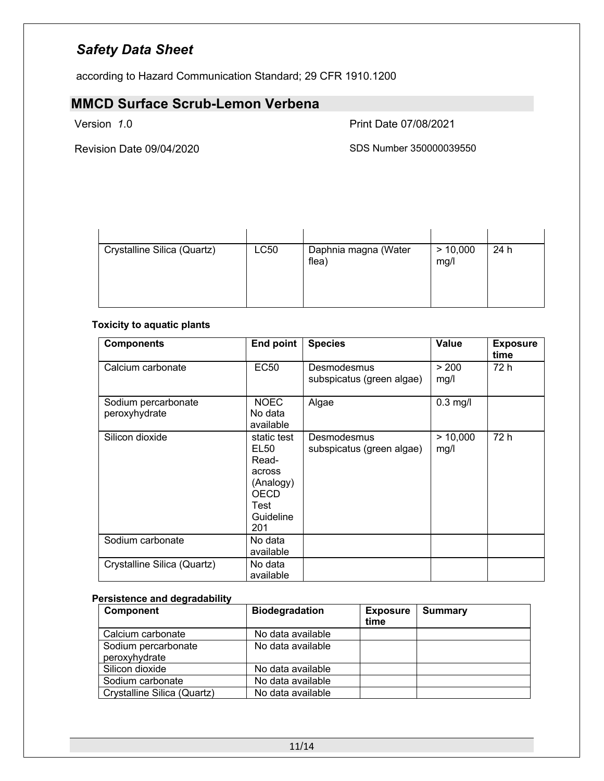according to Hazard Communication Standard; 29 CFR 1910.1200

# **MMCD Surface Scrub-Lemon Verbena**

Version *1*.0 Print Date 07/08/2021

Revision Date 09/04/2020 SDS Number 350000039550

| Crystalline Silica (Quartz) | LC50 | Daphnia magna (Water<br>flea) | > 10,000<br>mg/l | 24 h |
|-----------------------------|------|-------------------------------|------------------|------|

### **Toxicity to aquatic plants**

| <b>Components</b>                    | End point                                                                                      | <b>Species</b>                           | <b>Value</b>     | <b>Exposure</b><br>time |
|--------------------------------------|------------------------------------------------------------------------------------------------|------------------------------------------|------------------|-------------------------|
| Calcium carbonate                    | <b>EC50</b>                                                                                    | Desmodesmus<br>subspicatus (green algae) | > 200<br>mg/l    | 72 h                    |
| Sodium percarbonate<br>peroxyhydrate | <b>NOEC</b><br>No data<br>available                                                            | Algae                                    | $0.3$ mg/l       |                         |
| Silicon dioxide                      | static test<br>EL50<br>Read-<br>across<br>(Analogy)<br><b>OECD</b><br>Test<br>Guideline<br>201 | Desmodesmus<br>subspicatus (green algae) | > 10,000<br>mg/l | 72 h                    |
| Sodium carbonate                     | No data<br>available                                                                           |                                          |                  |                         |
| Crystalline Silica (Quartz)          | No data<br>available                                                                           |                                          |                  |                         |

### **Persistence and degradability**

| <b>Component</b>                     | <b>Biodegradation</b> | <b>Exposure</b><br>time | Summary |
|--------------------------------------|-----------------------|-------------------------|---------|
| Calcium carbonate                    | No data available     |                         |         |
| Sodium percarbonate<br>peroxyhydrate | No data available     |                         |         |
| Silicon dioxide                      | No data available     |                         |         |
| Sodium carbonate                     | No data available     |                         |         |
| Crystalline Silica (Quartz)          | No data available     |                         |         |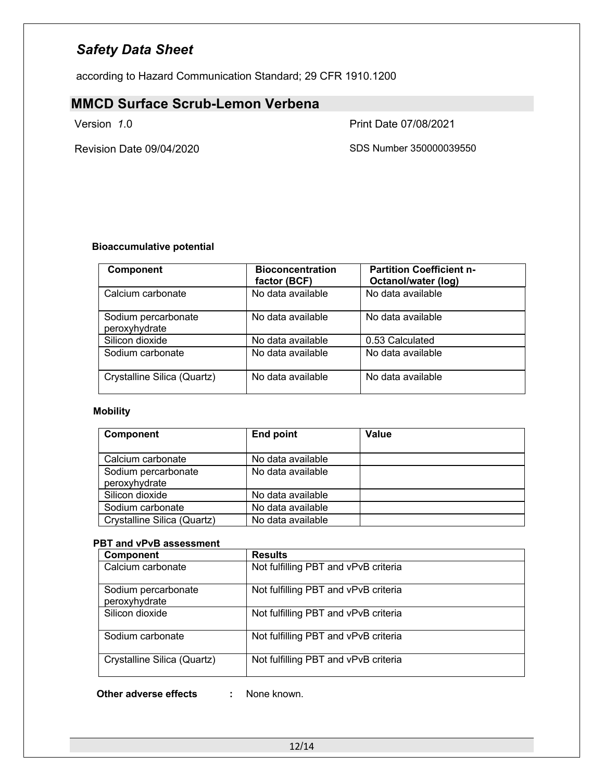according to Hazard Communication Standard; 29 CFR 1910.1200

### **MMCD Surface Scrub-Lemon Verbena**

Version *1*.0 Print Date 07/08/2021

Revision Date 09/04/2020 SDS Number 350000039550

### **Bioaccumulative potential**

| <b>Component</b>                     | <b>Bioconcentration</b><br>factor (BCF) | <b>Partition Coefficient n-</b><br><b>Octanol/water (log)</b> |
|--------------------------------------|-----------------------------------------|---------------------------------------------------------------|
| Calcium carbonate                    | No data available                       | No data available                                             |
| Sodium percarbonate<br>peroxyhydrate | No data available                       | No data available                                             |
| Silicon dioxide                      | No data available                       | 0.53 Calculated                                               |
| Sodium carbonate                     | No data available                       | No data available                                             |
| Crystalline Silica (Quartz)          | No data available                       | No data available                                             |

### **Mobility**

| Component                            | <b>End point</b>  | Value |
|--------------------------------------|-------------------|-------|
| Calcium carbonate                    | No data available |       |
| Sodium percarbonate<br>peroxyhydrate | No data available |       |
| Silicon dioxide                      | No data available |       |
| Sodium carbonate                     | No data available |       |
| Crystalline Silica (Quartz)          | No data available |       |

### **PBT and vPvB assessment**

| Component                            | <b>Results</b>                       |
|--------------------------------------|--------------------------------------|
| Calcium carbonate                    | Not fulfilling PBT and vPvB criteria |
| Sodium percarbonate<br>peroxyhydrate | Not fulfilling PBT and vPvB criteria |
| Silicon dioxide                      | Not fulfilling PBT and vPvB criteria |
| Sodium carbonate                     | Not fulfilling PBT and vPvB criteria |
| Crystalline Silica (Quartz)          | Not fulfilling PBT and vPvB criteria |

**Other adverse effects :** None known.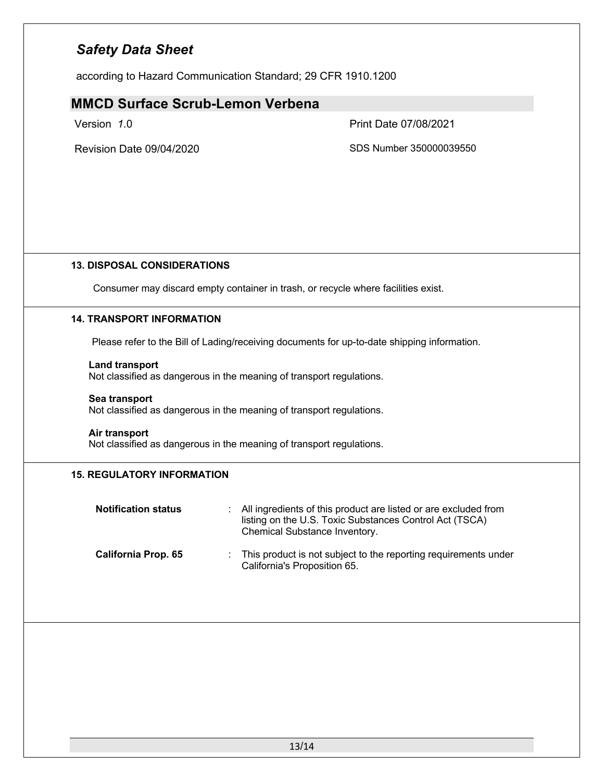according to Hazard Communication Standard; 29 CFR 1910.1200

### **MMCD Surface Scrub-Lemon Verbena**

Version *1*.0 Print Date 07/08/2021

Revision Date 09/04/2020 SDS Number 350000039550

### **13. DISPOSAL CONSIDERATIONS**

Consumer may discard empty container in trash, or recycle where facilities exist.

### **14. TRANSPORT INFORMATION**

Please refer to the Bill of Lading/receiving documents for up-to-date shipping information.

### **Land transport**

Not classified as dangerous in the meaning of transport regulations.

### **Sea transport**

Not classified as dangerous in the meaning of transport regulations.

### **Air transport**

Not classified as dangerous in the meaning of transport regulations.

### **15. REGULATORY INFORMATION**

| <b>Notification status</b> | : All ingredients of this product are listed or are excluded from<br>listing on the U.S. Toxic Substances Control Act (TSCA)<br>Chemical Substance Inventory. |
|----------------------------|---------------------------------------------------------------------------------------------------------------------------------------------------------------|
| <b>California Prop. 65</b> | : This product is not subject to the reporting requirements under<br>California's Proposition 65.                                                             |